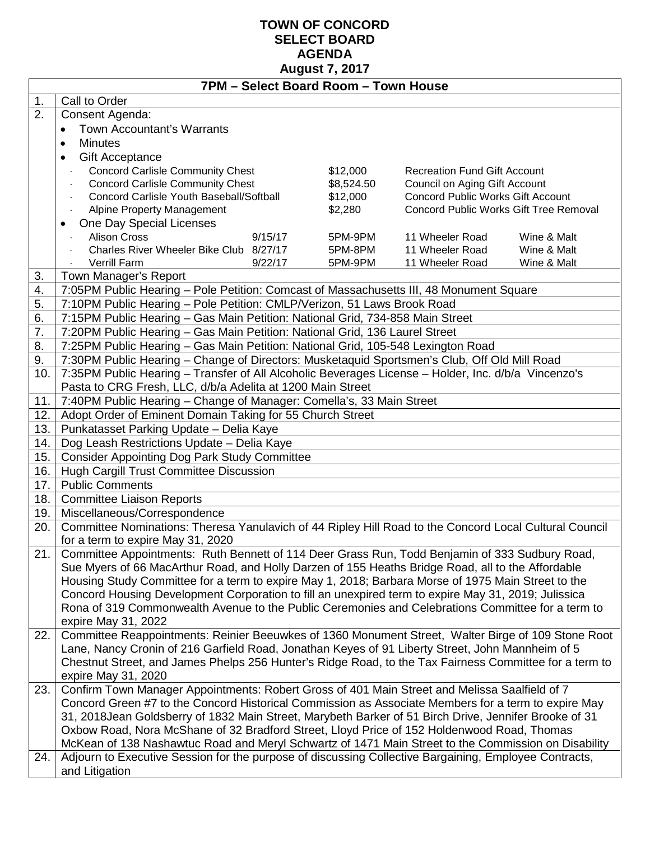# **TOWN OF CONCORD SELECT BOARD AGENDA August 7, 2017**

|            | 7PM - Select Board Room - Town House                                                                                                                                                                         |            |                                          |             |  |  |  |  |  |  |  |
|------------|--------------------------------------------------------------------------------------------------------------------------------------------------------------------------------------------------------------|------------|------------------------------------------|-------------|--|--|--|--|--|--|--|
| 1.         | Call to Order                                                                                                                                                                                                |            |                                          |             |  |  |  |  |  |  |  |
| 2.         | Consent Agenda:                                                                                                                                                                                              |            |                                          |             |  |  |  |  |  |  |  |
|            | <b>Town Accountant's Warrants</b><br>$\bullet$                                                                                                                                                               |            |                                          |             |  |  |  |  |  |  |  |
|            | <b>Minutes</b><br>$\bullet$                                                                                                                                                                                  |            |                                          |             |  |  |  |  |  |  |  |
|            | <b>Gift Acceptance</b><br>$\bullet$                                                                                                                                                                          |            |                                          |             |  |  |  |  |  |  |  |
|            | <b>Concord Carlisle Community Chest</b><br>\$12,000<br><b>Recreation Fund Gift Account</b>                                                                                                                   |            |                                          |             |  |  |  |  |  |  |  |
|            | <b>Concord Carlisle Community Chest</b>                                                                                                                                                                      | \$8,524.50 | Council on Aging Gift Account            |             |  |  |  |  |  |  |  |
|            | Concord Carlisle Youth Baseball/Softball                                                                                                                                                                     | \$12,000   | <b>Concord Public Works Gift Account</b> |             |  |  |  |  |  |  |  |
|            | Alpine Property Management                                                                                                                                                                                   | \$2,280    | Concord Public Works Gift Tree Removal   |             |  |  |  |  |  |  |  |
|            | One Day Special Licenses<br>$\bullet$                                                                                                                                                                        |            |                                          |             |  |  |  |  |  |  |  |
|            | <b>Alison Cross</b><br>9/15/17                                                                                                                                                                               | 5PM-9PM    | 11 Wheeler Road                          | Wine & Malt |  |  |  |  |  |  |  |
|            | Charles River Wheeler Bike Club 8/27/17                                                                                                                                                                      | 5PM-8PM    | 11 Wheeler Road                          | Wine & Malt |  |  |  |  |  |  |  |
|            | Verrill Farm<br>9/22/17                                                                                                                                                                                      | 5PM-9PM    | 11 Wheeler Road                          | Wine & Malt |  |  |  |  |  |  |  |
| 3.         | Town Manager's Report                                                                                                                                                                                        |            |                                          |             |  |  |  |  |  |  |  |
| 4.         | 7:05PM Public Hearing - Pole Petition: Comcast of Massachusetts III, 48 Monument Square                                                                                                                      |            |                                          |             |  |  |  |  |  |  |  |
| 5.         | 7:10PM Public Hearing - Pole Petition: CMLP/Verizon, 51 Laws Brook Road                                                                                                                                      |            |                                          |             |  |  |  |  |  |  |  |
| 6.         | 7:15PM Public Hearing - Gas Main Petition: National Grid, 734-858 Main Street                                                                                                                                |            |                                          |             |  |  |  |  |  |  |  |
| 7.         | 7:20PM Public Hearing - Gas Main Petition: National Grid, 136 Laurel Street                                                                                                                                  |            |                                          |             |  |  |  |  |  |  |  |
| 8.         | 7:25PM Public Hearing - Gas Main Petition: National Grid, 105-548 Lexington Road                                                                                                                             |            |                                          |             |  |  |  |  |  |  |  |
| 9.         | 7:30PM Public Hearing - Change of Directors: Musketaquid Sportsmen's Club, Off Old Mill Road                                                                                                                 |            |                                          |             |  |  |  |  |  |  |  |
| 10.        | 7:35PM Public Hearing - Transfer of All Alcoholic Beverages License - Holder, Inc. d/b/a Vincenzo's                                                                                                          |            |                                          |             |  |  |  |  |  |  |  |
|            | Pasta to CRG Fresh, LLC, d/b/a Adelita at 1200 Main Street<br>7:40PM Public Hearing - Change of Manager: Comella's, 33 Main Street                                                                           |            |                                          |             |  |  |  |  |  |  |  |
| 11.<br>12. | Adopt Order of Eminent Domain Taking for 55 Church Street                                                                                                                                                    |            |                                          |             |  |  |  |  |  |  |  |
| 13.        |                                                                                                                                                                                                              |            |                                          |             |  |  |  |  |  |  |  |
| 14.        | Punkatasset Parking Update - Delia Kaye<br>Dog Leash Restrictions Update - Delia Kaye                                                                                                                        |            |                                          |             |  |  |  |  |  |  |  |
| 15.        | <b>Consider Appointing Dog Park Study Committee</b>                                                                                                                                                          |            |                                          |             |  |  |  |  |  |  |  |
| 16.        | Hugh Cargill Trust Committee Discussion                                                                                                                                                                      |            |                                          |             |  |  |  |  |  |  |  |
| 17.        | <b>Public Comments</b>                                                                                                                                                                                       |            |                                          |             |  |  |  |  |  |  |  |
| 18.        | <b>Committee Liaison Reports</b>                                                                                                                                                                             |            |                                          |             |  |  |  |  |  |  |  |
| 19.        | Miscellaneous/Correspondence                                                                                                                                                                                 |            |                                          |             |  |  |  |  |  |  |  |
| 20.        | Committee Nominations: Theresa Yanulavich of 44 Ripley Hill Road to the Concord Local Cultural Council                                                                                                       |            |                                          |             |  |  |  |  |  |  |  |
|            | for a term to expire May 31, 2020                                                                                                                                                                            |            |                                          |             |  |  |  |  |  |  |  |
| 21.        | Committee Appointments: Ruth Bennett of 114 Deer Grass Run, Todd Benjamin of 333 Sudbury Road,                                                                                                               |            |                                          |             |  |  |  |  |  |  |  |
|            | Sue Myers of 66 MacArthur Road, and Holly Darzen of 155 Heaths Bridge Road, all to the Affordable                                                                                                            |            |                                          |             |  |  |  |  |  |  |  |
|            | Housing Study Committee for a term to expire May 1, 2018; Barbara Morse of 1975 Main Street to the                                                                                                           |            |                                          |             |  |  |  |  |  |  |  |
|            | Concord Housing Development Corporation to fill an unexpired term to expire May 31, 2019; Julissica                                                                                                          |            |                                          |             |  |  |  |  |  |  |  |
|            | Rona of 319 Commonwealth Avenue to the Public Ceremonies and Celebrations Committee for a term to                                                                                                            |            |                                          |             |  |  |  |  |  |  |  |
|            | expire May 31, 2022                                                                                                                                                                                          |            |                                          |             |  |  |  |  |  |  |  |
| 22.        | Committee Reappointments: Reinier Beeuwkes of 1360 Monument Street, Walter Birge of 109 Stone Root                                                                                                           |            |                                          |             |  |  |  |  |  |  |  |
|            | Lane, Nancy Cronin of 216 Garfield Road, Jonathan Keyes of 91 Liberty Street, John Mannheim of 5                                                                                                             |            |                                          |             |  |  |  |  |  |  |  |
|            | Chestnut Street, and James Phelps 256 Hunter's Ridge Road, to the Tax Fairness Committee for a term to                                                                                                       |            |                                          |             |  |  |  |  |  |  |  |
|            | expire May 31, 2020                                                                                                                                                                                          |            |                                          |             |  |  |  |  |  |  |  |
| 23.        | Confirm Town Manager Appointments: Robert Gross of 401 Main Street and Melissa Saalfield of 7                                                                                                                |            |                                          |             |  |  |  |  |  |  |  |
|            | Concord Green #7 to the Concord Historical Commission as Associate Members for a term to expire May                                                                                                          |            |                                          |             |  |  |  |  |  |  |  |
|            | 31, 2018 Jean Goldsberry of 1832 Main Street, Marybeth Barker of 51 Birch Drive, Jennifer Brooke of 31                                                                                                       |            |                                          |             |  |  |  |  |  |  |  |
|            | Oxbow Road, Nora McShane of 32 Bradford Street, Lloyd Price of 152 Holdenwood Road, Thomas                                                                                                                   |            |                                          |             |  |  |  |  |  |  |  |
| 24.        | McKean of 138 Nashawtuc Road and Meryl Schwartz of 1471 Main Street to the Commission on Disability<br>Adjourn to Executive Session for the purpose of discussing Collective Bargaining, Employee Contracts, |            |                                          |             |  |  |  |  |  |  |  |
|            | and Litigation                                                                                                                                                                                               |            |                                          |             |  |  |  |  |  |  |  |
|            |                                                                                                                                                                                                              |            |                                          |             |  |  |  |  |  |  |  |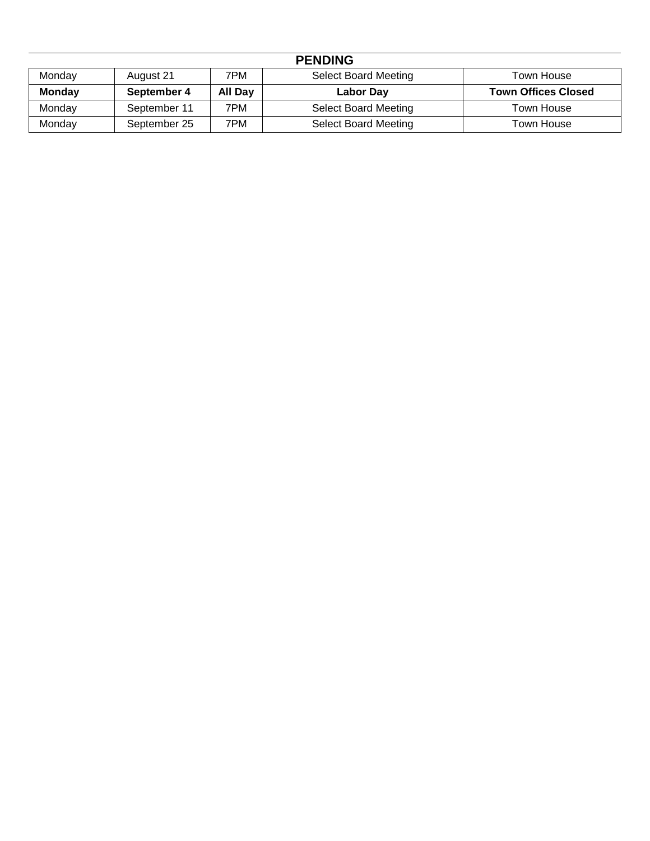| <b>PENDING</b> |              |         |                             |                            |  |  |  |  |  |
|----------------|--------------|---------|-----------------------------|----------------------------|--|--|--|--|--|
| Monday         | August 21    | 7PM     | <b>Select Board Meeting</b> | Town House                 |  |  |  |  |  |
| <b>Monday</b>  | September 4  | All Day | Labor Day                   | <b>Town Offices Closed</b> |  |  |  |  |  |
| Mondav         | September 11 | 7PM     | <b>Select Board Meeting</b> | <b>Town House</b>          |  |  |  |  |  |
| Monday         | September 25 | 7PM     | <b>Select Board Meeting</b> | Town House                 |  |  |  |  |  |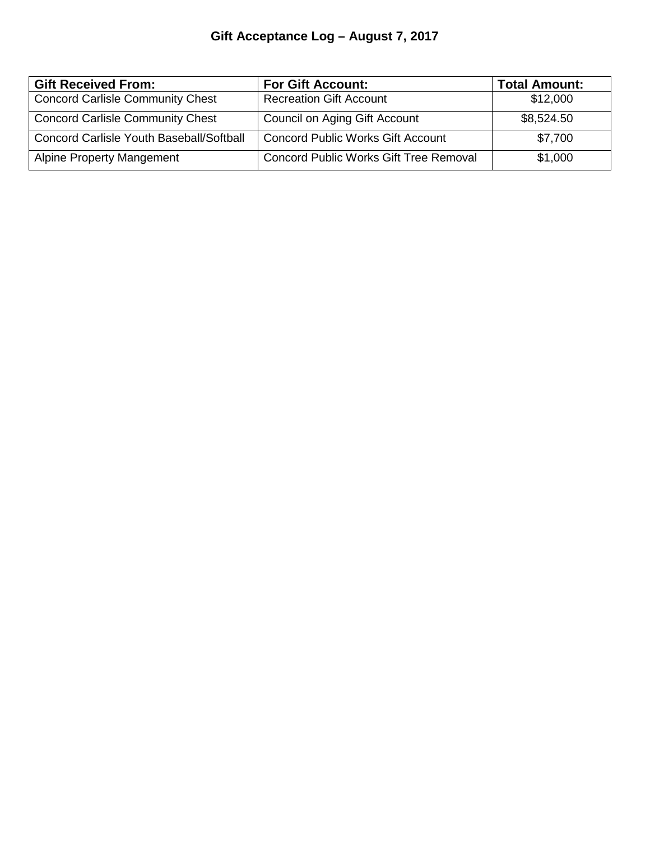# **Gift Acceptance Log – August 7, 2017**

| <b>Gift Received From:</b>               | <b>For Gift Account:</b>                      | <b>Total Amount:</b> |
|------------------------------------------|-----------------------------------------------|----------------------|
| <b>Concord Carlisle Community Chest</b>  | <b>Recreation Gift Account</b>                | \$12,000             |
| <b>Concord Carlisle Community Chest</b>  | Council on Aging Gift Account                 | \$8,524.50           |
| Concord Carlisle Youth Baseball/Softball | <b>Concord Public Works Gift Account</b>      | \$7,700              |
| <b>Alpine Property Mangement</b>         | <b>Concord Public Works Gift Tree Removal</b> | \$1,000              |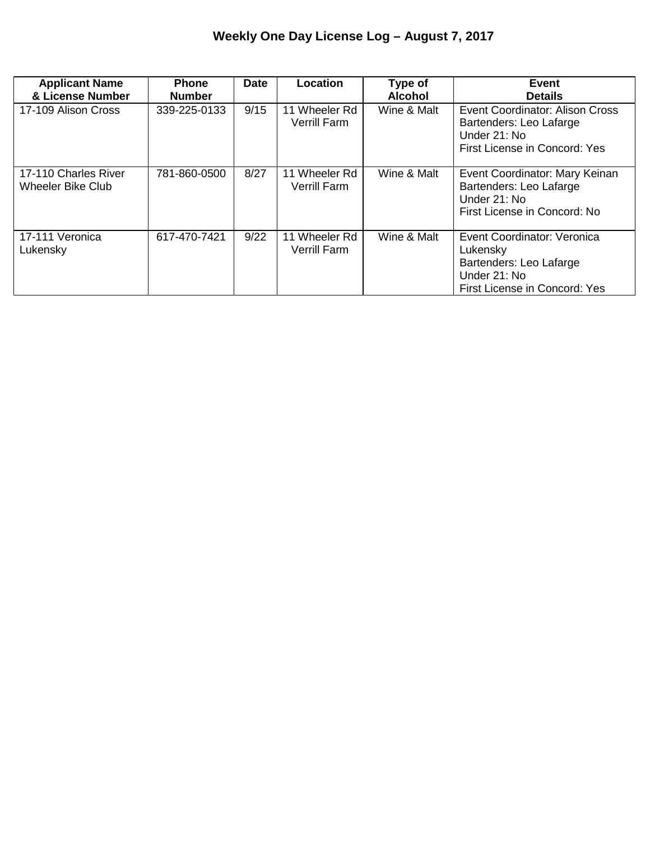| <b>Applicant Name</b><br>& License Number        | <b>Phone</b><br><b>Number</b> | <b>Date</b> | Location                             | Type of<br><b>Alcohol</b> | <b>Event</b><br><b>Details</b>                                                                                      |
|--------------------------------------------------|-------------------------------|-------------|--------------------------------------|---------------------------|---------------------------------------------------------------------------------------------------------------------|
| 17-109 Alison Cross                              | 339-225-0133                  | 9/15        | 11 Wheeler Rd<br><b>Verrill Farm</b> | Wine & Malt               | <b>Event Coordinator: Alison Cross</b><br>Bartenders: Leo Lafarge<br>Under 21: No<br>First License in Concord: Yes  |
| 17-110 Charles River<br><b>Wheeler Bike Club</b> | 781-860-0500                  | 8/27        | 11 Wheeler Rd<br><b>Verrill Farm</b> | Wine & Malt               | Event Coordinator: Mary Keinan<br>Bartenders: Leo Lafarge<br>Under 21: No<br>First License in Concord: No           |
| 17-111 Veronica<br>Lukensky                      | 617-470-7421                  | 9/22        | 11 Wheeler Rd<br><b>Verrill Farm</b> | Wine & Malt               | Event Coordinator: Veronica<br>Lukensky<br>Bartenders: Leo Lafarge<br>Under 21: No<br>First License in Concord: Yes |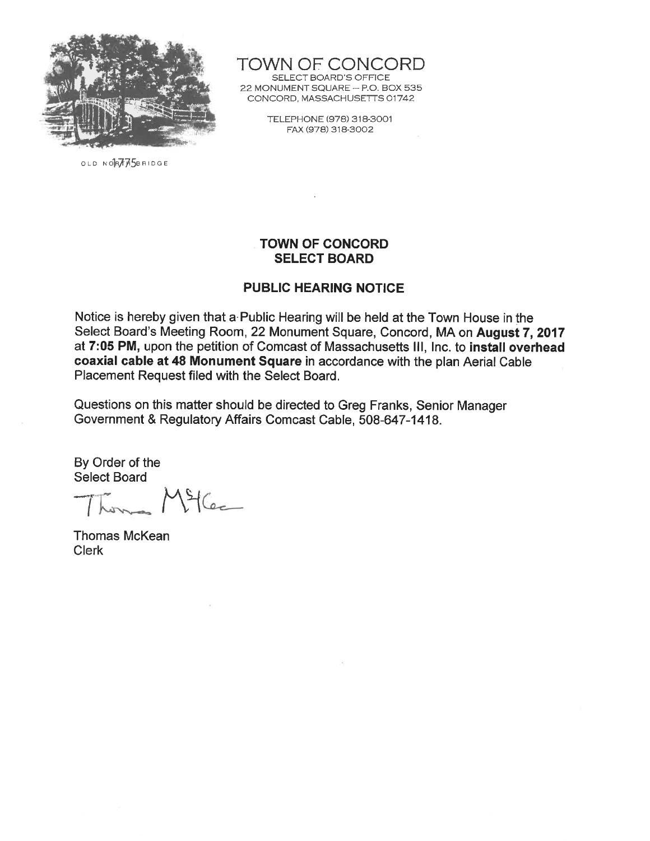

OLD NORTHSBRIDGE

TOWN OF CONCORD SELECT BOARD'S OFFICE 22 MONUMENT SQUARE - P.O. BOX 535 CONCORD, MASSACHUSETTS 01742

> TELEPHONE (978) 318-3001 FAX (978) 318-3002

#### **TOWN OF CONCORD SELECT BOARD**

#### **PUBLIC HEARING NOTICE**

Notice is hereby given that a Public Hearing will be held at the Town House in the Select Board's Meeting Room, 22 Monument Square, Concord, MA on August 7, 2017 at 7:05 PM, upon the petition of Comcast of Massachusetts III, Inc. to install overhead coaxial cable at 48 Monument Square in accordance with the plan Aerial Cable Placement Request filed with the Select Board.

Questions on this matter should be directed to Greg Franks, Senior Manager Government & Regulatory Affairs Comcast Cable, 508-647-1418.

Thomas Miller

Thomas McKean **Clerk**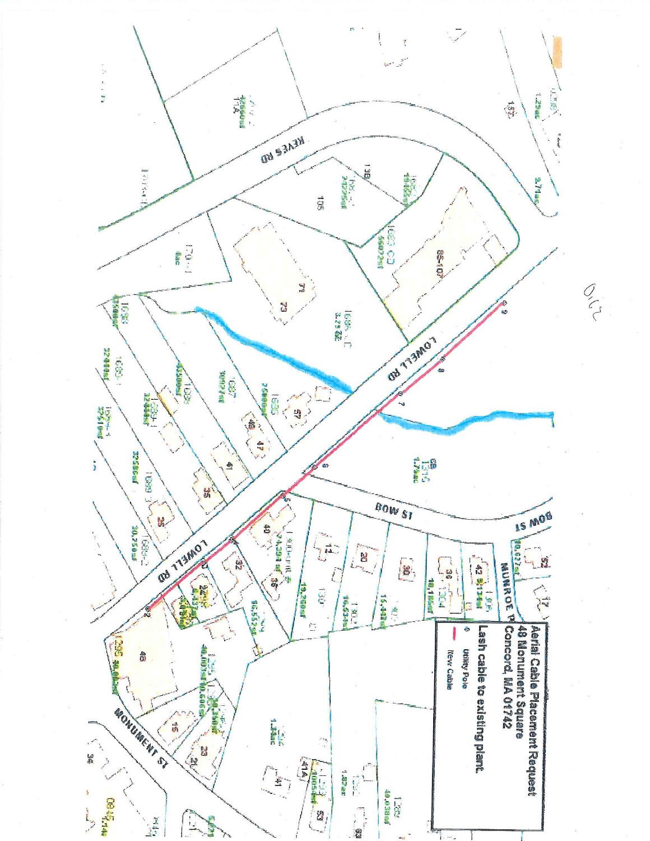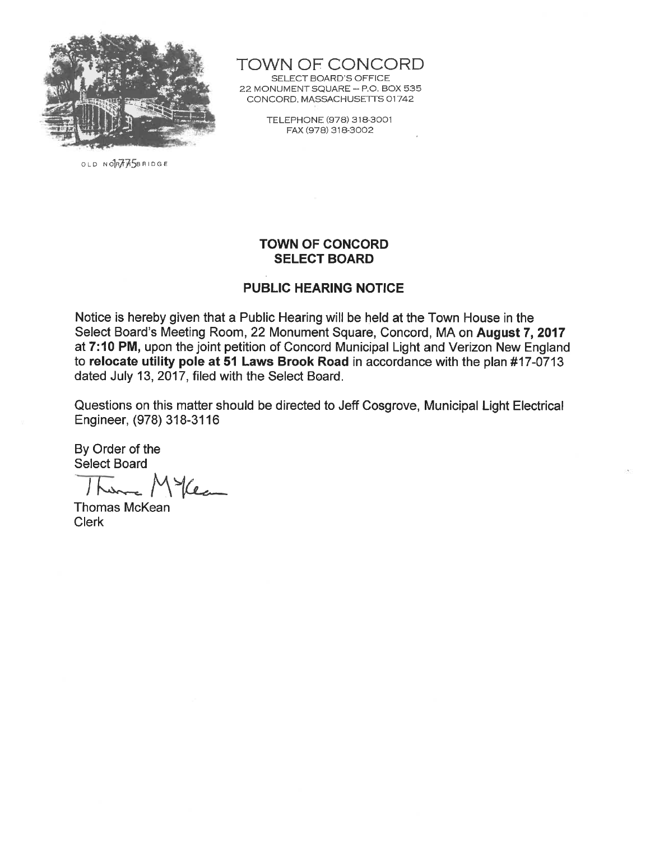

OLD NORABSBRIDGE

TOWN OF CONCORD

SELECT BOARD'S OFFICE 22 MONUMENT SQUARE - P.O. BOX 535 CONCORD, MASSACHUSETTS 01742

> TELEPHONE (978) 318-3001 FAX (978) 318-3002

#### **TOWN OF CONCORD SELECT BOARD**

#### **PUBLIC HEARING NOTICE**

Notice is hereby given that a Public Hearing will be held at the Town House in the Select Board's Meeting Room, 22 Monument Square, Concord, MA on August 7, 2017 at 7:10 PM, upon the joint petition of Concord Municipal Light and Verizon New England to relocate utility pole at 51 Laws Brook Road in accordance with the plan #17-0713 dated July 13, 2017, filed with the Select Board.

Questions on this matter should be directed to Jeff Cosgrove, Municipal Light Electrical Engineer, (978) 318-3116

Mea  $\int$   $\int$ 

**Thomas McKean Clerk**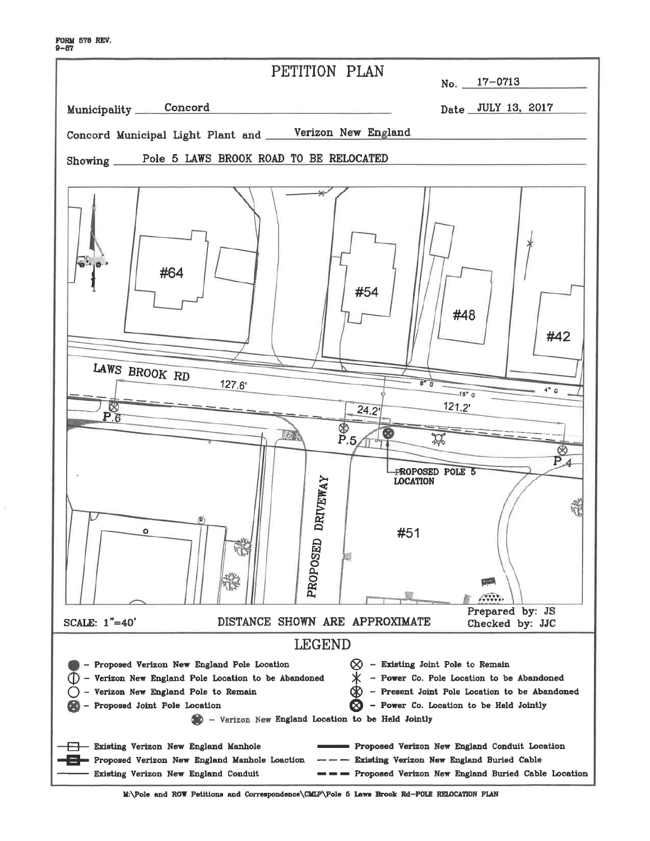| PETITION PLAN<br>No. $17-0713$                                                                                                                                                                                                                                                                                                                                                                       |
|------------------------------------------------------------------------------------------------------------------------------------------------------------------------------------------------------------------------------------------------------------------------------------------------------------------------------------------------------------------------------------------------------|
| Municipality Concord<br>Date JULY 13, 2017                                                                                                                                                                                                                                                                                                                                                           |
| Concord Municipal Light Plant and _____Verizon New England                                                                                                                                                                                                                                                                                                                                           |
| Showing _____Pole 5 LAWS BROOK ROAD TO BE RELOCATED                                                                                                                                                                                                                                                                                                                                                  |
|                                                                                                                                                                                                                                                                                                                                                                                                      |
| $\star$<br>#64<br>#54<br>#48<br>#42<br>LAWS BROOK RD<br>$8^{\circ}$ $6$                                                                                                                                                                                                                                                                                                                              |
| 127.6'<br>4" G<br>$-16'' c$                                                                                                                                                                                                                                                                                                                                                                          |
| 121.2'<br>⊗<br>24.2'<br>P.6                                                                                                                                                                                                                                                                                                                                                                          |
| P.5<br><b>MAR</b><br>⊗<br>$P_4$<br>PROPOSED POLE 5<br><b>DRIVEWAY</b><br><b>LOCATION</b><br>D.                                                                                                                                                                                                                                                                                                       |
| #51<br>۰<br>PROPOSED<br>戸<br>$\begin{smallmatrix}&&&&&&\\&\sqrt{3}&\sqrt{3}&\sqrt{3}&\sqrt{3}\\0&\sqrt{3}&\sqrt{3}&\sqrt{3}&\sqrt{3}\end{smallmatrix}$<br>Prepared by: JS                                                                                                                                                                                                                            |
| DISTANCE SHOWN ARE APPROXIMATE<br>SCALE: 1"=40'<br>Checked by: JJC                                                                                                                                                                                                                                                                                                                                   |
| <b>LEGEND</b>                                                                                                                                                                                                                                                                                                                                                                                        |
| - Existing Joint Pole to Remain<br>Proposed Verizon New England Pole Location<br>- Power Co. Pole Location to be Abandoned<br>Verizon New England Pole Location to be Abandoned<br>- Present Joint Pole Location to be Abandoned<br>Verizon New England Pole to Remain<br>Power Co. Location to be Held Jointly<br>Proposed Joint Pole Location<br>- Verizon New England Location to be Held Jointly |
| Existing Verizon New England Manhole<br>Proposed Verizon New England Conduit Location<br>Existing Verizon New England Buried Cable<br>Proposed Verizon New England Manhole Loaction<br>Existing Verizon New England Conduit<br>Proposed Verizon New England Buried Cable Location                                                                                                                    |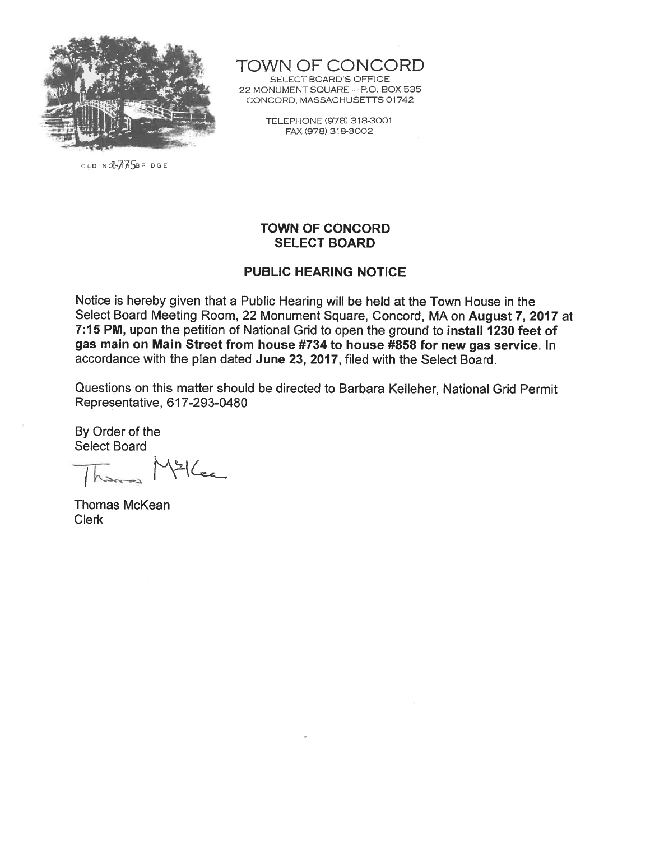

TOWN OF CONCORD

SELECT BOARD'S OFFICE 22 MONUMENT SQUARE - P.O. BOX 535 CONCORD, MASSACHUSETTS 01742

> TELEPHONE (978) 318-3001 FAX (978) 318-3002

OLD NORTHASBRIDGE

## **TOWN OF CONCORD SELECT BOARD**

### **PUBLIC HEARING NOTICE**

Notice is hereby given that a Public Hearing will be held at the Town House in the Select Board Meeting Room, 22 Monument Square, Concord, MA on August 7, 2017 at 7:15 PM, upon the petition of National Grid to open the ground to install 1230 feet of gas main on Main Street from house #734 to house #858 for new gas service. In accordance with the plan dated June 23, 2017, filed with the Select Board.

Questions on this matter should be directed to Barbara Kelleher, National Grid Permit Representative, 617-293-0480

 $446$ 

**Thomas McKean Clerk**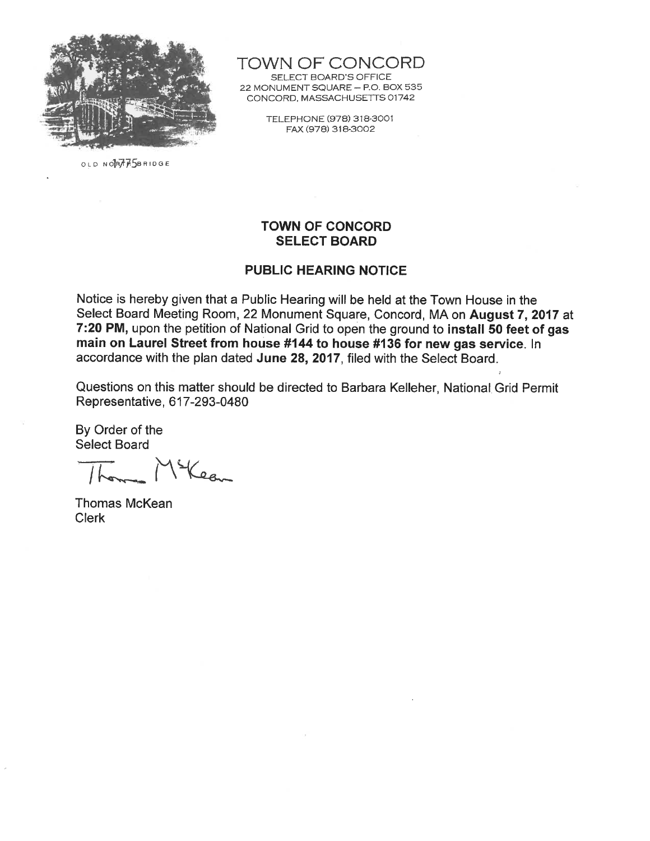

OLD NORTHASBRIDGE

**TOWN OF CONCORD** SELECT BOARD'S OFFICE 22 MONUMENT SQUARE - P.O. BOX 535 CONCORD, MASSACHUSETTS 01742

> TELEPHONE (978) 318-3001 FAX (978) 318-3002

#### **TOWN OF CONCORD SELECT BOARD**

#### **PUBLIC HEARING NOTICE**

Notice is hereby given that a Public Hearing will be held at the Town House in the Select Board Meeting Room, 22 Monument Square, Concord, MA on August 7, 2017 at 7:20 PM, upon the petition of National Grid to open the ground to install 50 feet of gas main on Laurel Street from house #144 to house #136 for new gas service. In accordance with the plan dated June 28, 2017, filed with the Select Board.

Questions on this matter should be directed to Barbara Kelleher, National Grid Permit Representative, 617-293-0480

Lea

Thomas McKean **Clerk**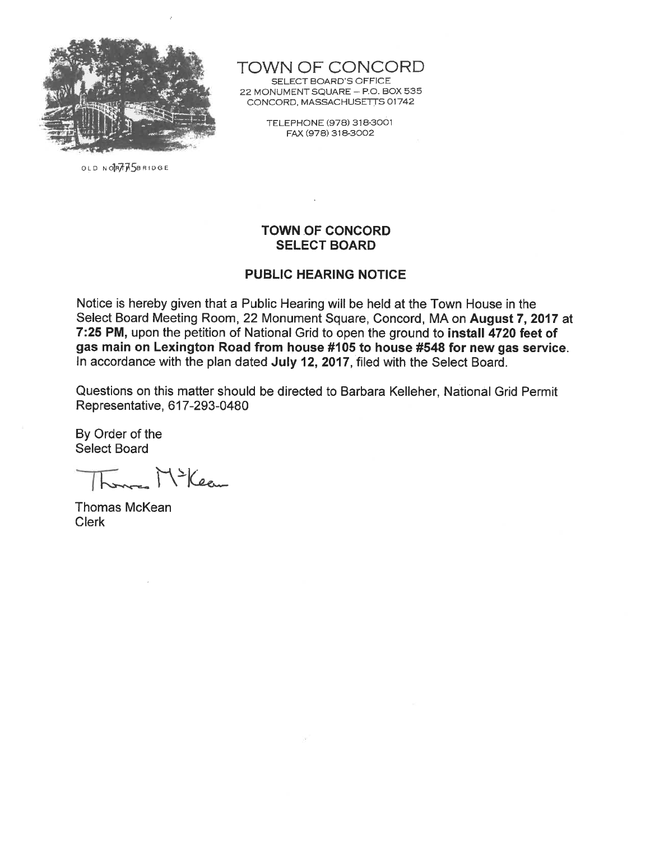

OLD NORTHSBRIDGE

# TOWN OF CONCORD

SELECT BOARD'S OFFICE 22 MONUMENT SQUARE - P.O. BOX 535 CONCORD, MASSACHUSETTS 01742

> TELEPHONE (978) 318-3001 FAX (978) 318-3002

#### **TOWN OF CONCORD SELECT BOARD**

#### **PUBLIC HEARING NOTICE**

Notice is hereby given that a Public Hearing will be held at the Town House in the Select Board Meeting Room, 22 Monument Square, Concord, MA on August 7, 2017 at 7:25 PM, upon the petition of National Grid to open the ground to install 4720 feet of gas main on Lexington Road from house #105 to house #548 for new gas service. In accordance with the plan dated July 12, 2017, filed with the Select Board.

Questions on this matter should be directed to Barbara Kelleher, National Grid Permit Representative, 617-293-0480

Lam Mileau

Thomas McKean **Clerk**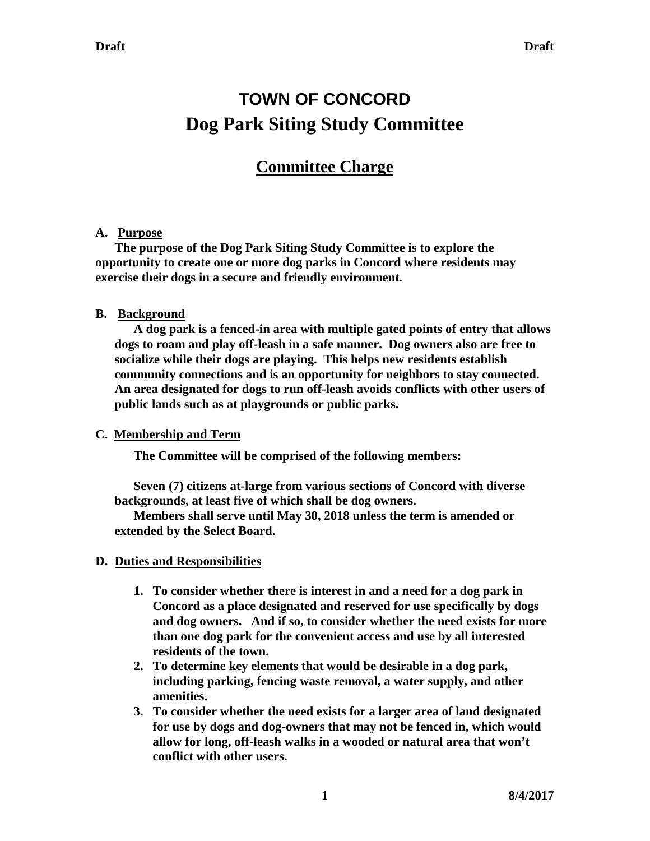# **TOWN OF CONCORD Dog Park Siting Study Committee**

# **Committee Charge**

# **A. Purpose**

**The purpose of the Dog Park Siting Study Committee is to explore the opportunity to create one or more dog parks in Concord where residents may exercise their dogs in a secure and friendly environment.**

# **B. Background**

**A dog park is a fenced-in area with multiple gated points of entry that allows dogs to roam and play off-leash in a safe manner. Dog owners also are free to socialize while their dogs are playing. This helps new residents establish community connections and is an opportunity for neighbors to stay connected. An area designated for dogs to run off-leash avoids conflicts with other users of public lands such as at playgrounds or public parks.**

### **C. Membership and Term**

**The Committee will be comprised of the following members:** 

**Seven (7) citizens at-large from various sections of Concord with diverse backgrounds, at least five of which shall be dog owners.**

**Members shall serve until May 30, 2018 unless the term is amended or extended by the Select Board.**

# **D. Duties and Responsibilities**

- **1. To consider whether there is interest in and a need for a dog park in Concord as a place designated and reserved for use specifically by dogs and dog owners. And if so, to consider whether the need exists for more than one dog park for the convenient access and use by all interested residents of the town.**
- **2. To determine key elements that would be desirable in a dog park, including parking, fencing waste removal, a water supply, and other amenities.**
- **3. To consider whether the need exists for a larger area of land designated for use by dogs and dog-owners that may not be fenced in, which would allow for long, off-leash walks in a wooded or natural area that won't conflict with other users.**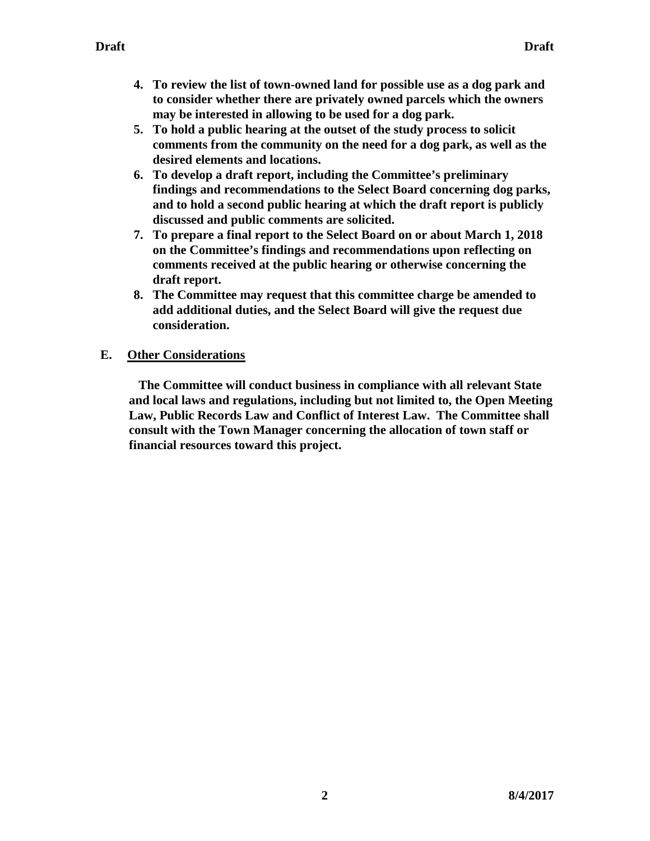- **4. To review the list of town-owned land for possible use as a dog park and to consider whether there are privately owned parcels which the owners may be interested in allowing to be used for a dog park.**
- **5. To hold a public hearing at the outset of the study process to solicit comments from the community on the need for a dog park, as well as the desired elements and locations.**
- **6. To develop a draft report, including the Committee's preliminary findings and recommendations to the Select Board concerning dog parks, and to hold a second public hearing at which the draft report is publicly discussed and public comments are solicited.**
- **7. To prepare a final report to the Select Board on or about March 1, 2018 on the Committee's findings and recommendations upon reflecting on comments received at the public hearing or otherwise concerning the draft report.**
- **8. The Committee may request that this committee charge be amended to add additional duties, and the Select Board will give the request due consideration.**

# **E. Other Considerations**

 **The Committee will conduct business in compliance with all relevant State and local laws and regulations, including but not limited to, the Open Meeting Law, Public Records Law and Conflict of Interest Law. The Committee shall consult with the Town Manager concerning the allocation of town staff or financial resources toward this project.**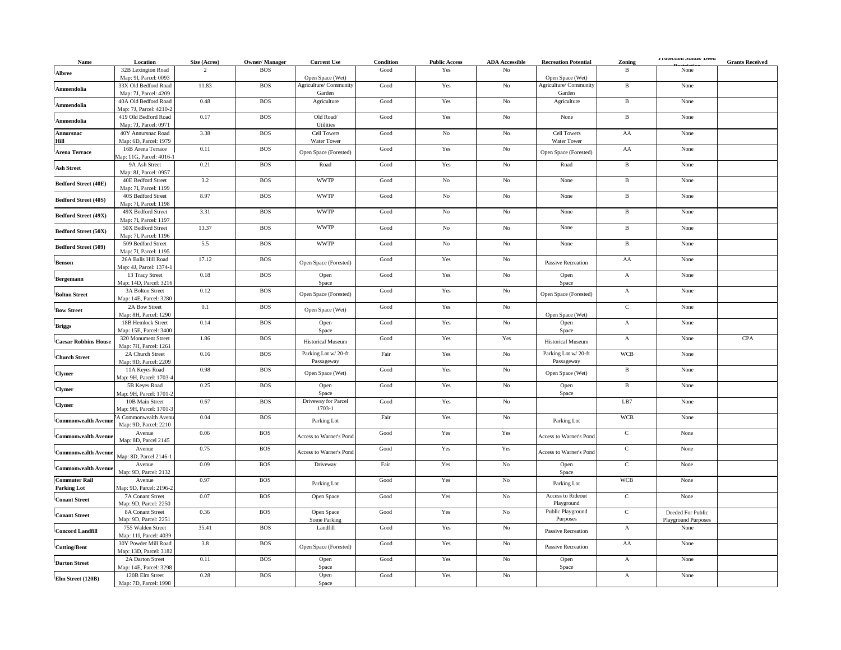| Name                                       | Location                                        | Size (Acres) | <b>Owner/Manager</b> | <b>Current Use</b>                   | Condition             | <b>Public Access</b> | <b>ADA</b> Accessible | <b>Recreation Potential</b>                 | Zoning         | Protection Status/ Deed            | <b>Grants Received</b> |
|--------------------------------------------|-------------------------------------------------|--------------|----------------------|--------------------------------------|-----------------------|----------------------|-----------------------|---------------------------------------------|----------------|------------------------------------|------------------------|
| Albree                                     | 32B Lexington Road                              | 2            | <b>BOS</b>           |                                      | Good                  | Yes                  | No                    |                                             | B              | None                               |                        |
|                                            | Map: 9I, Parcel: 0093                           |              |                      | Open Space (Wet)                     |                       |                      |                       | Open Space (Wet)                            |                |                                    |                        |
| Ammendolia                                 | 33X Old Bedford Road<br>Map: 7J, Parcel: 4209   | 11.83        | <b>BOS</b>           | Agriculture/Community<br>Garden      | Good                  | Yes                  | $_{\rm No}$           | Agriculture/Community<br>Garden             | $\, {\bf B}$   | None                               |                        |
| Ammendolia                                 | 40A Old Bedford Road<br>Map: 7J, Parcel: 4210-2 | 0.48         | <b>BOS</b>           | Agriculture                          | Good                  | Yes                  | $_{\rm No}$           | Agriculture                                 | $\, {\bf B}$   | None                               |                        |
| <b>Ammendolia</b>                          | 419 Old Bedford Road                            | 0.17         | <b>BOS</b>           | Old Road/                            | Good                  | Yes                  | $_{\rm No}$           | None                                        | $\, {\bf B}$   | None                               |                        |
| Annursnac                                  | Map: 7J, Parcel: 0971<br>40Y Annursnac Road     | 3.38         | <b>BOS</b>           | Utilities<br><b>Cell Towers</b>      | Good                  | $\rm No$             | No                    | <b>Cell Towers</b>                          | AA             | None                               |                        |
| Hill<br><b>Arena Terrace</b>               | Map: 6D, Parcel: 1979<br>16B Arena Terrace      | 0.11         | <b>BOS</b>           | Water Tower<br>Open Space (Forested) | $\operatorname{Good}$ | Yes                  | $_{\rm No}$           | <b>Water Tower</b><br>Open Space (Forested) | ${\rm AA}$     | None                               |                        |
|                                            | Map: 11G, Parcel: 4016-1<br>9A Ash Street       | 0.21         | <b>BOS</b>           | Road                                 | Good                  | Yes                  | $_{\rm No}$           | Road                                        | $\, {\bf B}$   | None                               |                        |
| <b>Ash Street</b>                          | Map: 8J, Parcel: 0957<br>40E Bedford Street     | $3.2\,$      | <b>BOS</b>           | <b>WWTP</b>                          | Good                  | $\rm No$             | $_{\rm No}$           | None                                        | $\, {\bf B}$   | None                               |                        |
| <b>Bedford Street (40E)</b>                | Map: 7I, Parcel: 1199<br>40S Bedford Street     | 8.97         | <b>BOS</b>           | <b>WWTP</b>                          | Good                  | No                   | No                    | None                                        | $\, {\bf B}$   | None                               |                        |
| <b>Bedford Street (40S)</b>                | Map: 7I, Parcel: 1198                           |              |                      |                                      |                       |                      |                       |                                             |                |                                    |                        |
| Bedford Street (49X)                       | 49X Bedford Street<br>Map: 7I, Parcel: 1197     | 3.31         | <b>BOS</b>           | <b>WWTP</b>                          | Good                  | $\rm No$             | No                    | None                                        | $\, {\bf B}$   | None                               |                        |
| Bedford Street (50X)                       | 50X Bedford Street<br>Map: 7I, Parcel: 1196     | 13.37        | <b>BOS</b>           | <b>WWTP</b>                          | Good                  | $\rm No$             | $_{\rm No}$           | None                                        | $\, {\bf B}$   | None                               |                        |
| Bedford Street (509)                       | 509 Bedford Street<br>Map: 7I, Parcel: 1195     | 5.5          | <b>BOS</b>           | <b>WWTP</b>                          | $\operatorname{Good}$ | $\rm No$             | $_{\rm No}$           | None                                        | $\, {\bf B}$   | None                               |                        |
| <b>Benson</b>                              | 26A Balls Hill Road<br>Map: 4J, Parcel: 1374-1  | 17.12        | <b>BOS</b>           | Open Space (Forested)                | $\operatorname{Good}$ | Yes                  | $\rm No$              | <b>Passive Recreation</b>                   | ${\rm AA}$     | None                               |                        |
| <b>Bergemann</b>                           | 13 Tracy Street<br>Map: 14D, Parcel: 3216       | $0.18\,$     | <b>BOS</b>           | Open<br>Space                        | $\operatorname{Good}$ | Yes                  | No                    | Open<br>Space                               | $\mathbf A$    | None                               |                        |
| <b>Bolton Street</b>                       | 3A Bolton Street<br>Map: 14E, Parcel: 3280      | 0.12         | <b>BOS</b>           | Open Space (Forested)                | Good                  | Yes                  | $_{\rm No}$           | Open Space (Forested)                       | $\mathbf A$    | None                               |                        |
| <b>Bow Street</b>                          | 2A Bow Street<br>Map: 8H, Parcel: 1290          | 0.1          | <b>BOS</b>           | Open Space (Wet)                     | Good                  | Yes                  | No                    | Open Space (Wet)                            | $\mathbf C$    | None                               |                        |
| <b>Briggs</b>                              | 18B Hemlock Street<br>Map: 15E, Parcel: 3400    | 0.14         | <b>BOS</b>           | Open<br>Space                        | Good                  | Yes                  | No                    | Open<br>Space                               | $\mathbf{A}$   | None                               |                        |
| <b>Caesar Robbins House</b>                | 320 Monument Street<br>Map: 7H, Parcel: 1261    | 1.86         | <b>BOS</b>           | <b>Historical Museum</b>             | Good                  | Yes                  | Yes                   | <b>Historical Museum</b>                    | $\mathbf{A}$   | None                               | CPA                    |
| <b>Church Street</b>                       | 2A Church Street                                | 0.16         | <b>BOS</b>           | Parking Lot w/20-ft                  | Fair                  | Yes                  | No                    | Parking Lot w/20-ft                         | <b>WCB</b>     | None                               |                        |
| <b>Clymer</b>                              | Map: 9D, Parcel: 2209<br>11A Keyes Road         | 0.98         | <b>BOS</b>           | Passageway<br>Open Space (Wet)       | Good                  | Yes                  | No                    | Passageway<br>Open Space (Wet)              | $\, {\bf B}$   | None                               |                        |
| <b>Clymer</b>                              | Map: 9H, Parcel: 1703-4<br>5B Keyes Road        | 0.25         | <b>BOS</b>           | Open                                 | Good                  | Yes                  | $_{\rm No}$           | Open                                        | $\, {\bf B}$   | None                               |                        |
| <b>Clymer</b>                              | Map: 9H, Parcel: 1701-<br>10B Main Street       | 0.67         | <b>BOS</b>           | Space<br>Driveway for Parcel         | Good                  | Yes                  | $\rm No$              | Space                                       | LB7            | None                               |                        |
|                                            | Map: 9H, Parcel: 1701-3                         |              |                      | 1703-1                               |                       |                      |                       |                                             |                |                                    |                        |
| <b>Commonwealth Avenue</b>                 | A Commonwealth Avenu<br>Map: 9D, Parcel: 2210   | 0.04         | <b>BOS</b>           | Parking Lot                          | Fair                  | Yes                  | $_{\rm No}$           | Parking Lot                                 | <b>WCB</b>     | None                               |                        |
| <b>Commonwealth Avenue</b>                 | Avenue<br>Map: 8D, Parcel 2145                  | 0.06         | <b>BOS</b>           | Access to Warner's Pond              | Good                  | Yes                  | Yes                   | Access to Warner's Pond                     | $\mathbf C$    | None                               |                        |
| <b>Commonwealth Avenue</b>                 | Avenue<br>Map: 8D, Parcel 2146-1                | 0.75         | <b>BOS</b>           | Access to Warner's Pond              | Good                  | Yes                  | Yes                   | Access to Warner's Pond                     | $\mathbf C$    | None                               |                        |
| <b>Commonwealth Avenue</b>                 | Avenue<br>Map: 9D, Parcel: 2132                 | 0.09         | <b>BOS</b>           | Driveway                             | Fair                  | Yes                  | $\rm No$              | Open<br>Space                               | $\overline{C}$ | None                               |                        |
| <b>Commuter Rail</b><br><b>Parking Lot</b> | Avenue<br>Map: 9D, Parcel: 2196-2               | 0.97         | <b>BOS</b>           | Parking Lot                          | $\operatorname{Good}$ | $\operatorname{Yes}$ | $\rm No$              | Parking Lot                                 | <b>WCB</b>     | None                               |                        |
| <b>Conant Street</b>                       | 7A Conant Street<br>Map: 9D, Parcel: 2250       | 0.07         | <b>BOS</b>           | Open Space                           | $\operatorname{Good}$ | $\operatorname{Yes}$ | $_{\rm No}$           | Access to Rideout<br>Playground             | $\overline{C}$ | None                               |                        |
| <b>Conant Street</b>                       | 8A Conant Street                                | 0.36         | <b>BOS</b>           | Open Space                           | $\operatorname{Good}$ | $\operatorname{Yes}$ | $_{\rm No}$           | Public Playground<br>Purposes               | $\mathbf C$    | Deeded For Public                  |                        |
| <b>Concord Landfill</b>                    | Map: 9D, Parcel: 2251<br>755 Walden Street      | 35.41        | <b>BOS</b>           | Some Parking<br>Landfill             | Good                  | $\operatorname{Yes}$ | $_{\rm No}$           | Passive Recreation                          | $\mathbf A$    | <b>Playground Purposes</b><br>None |                        |
| <b>Cutting/Bent</b>                        | Map: 11I, Parcel: 4039<br>30Y Powder Mill Road  | $3.8\,$      | <b>BOS</b>           | Open Space (Forested)                | Good                  | Yes                  | $_{\rm No}$           | Passive Recreation                          | ${\bf AA}$     | None                               |                        |
| <b>Darton Street</b>                       | Map: 13D, Parcel: 3182<br>2A Darton Street      | 0.11         | <b>BOS</b>           | Open                                 | Good                  | Yes                  | No                    | Open                                        | $\mathbf A$    | None                               |                        |
|                                            | Map: 14E, Parcel: 3298<br>120B Elm Street       | 0.28         | <b>BOS</b>           | Space<br>Open                        | Good                  | Yes                  | No                    | Space                                       | $\mathbf{A}$   | None                               |                        |
| Elm Street (120B)                          | Map: 7D, Parcel: 1998                           |              |                      | Space                                |                       |                      |                       |                                             |                |                                    |                        |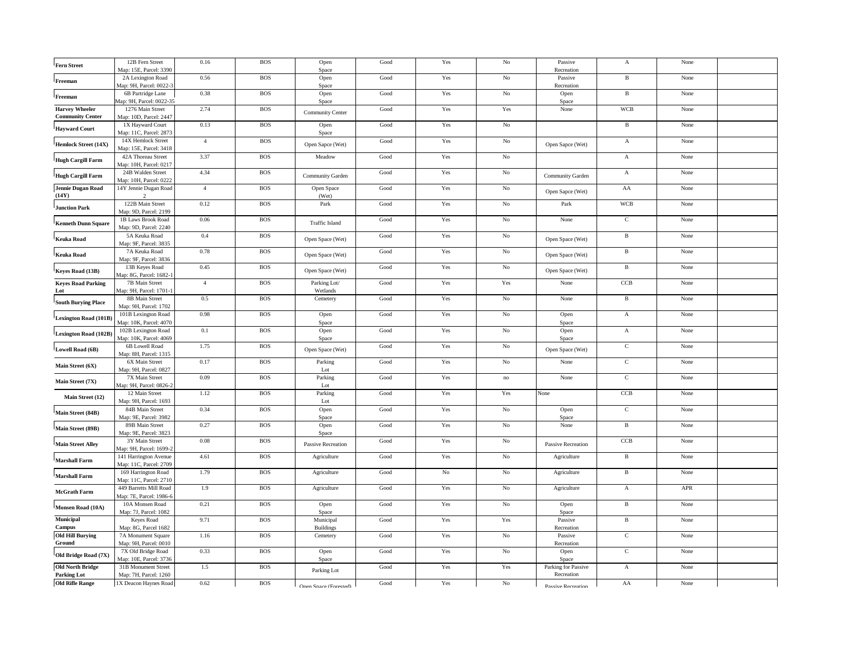| <b>Fern Street</b>                           | 12B Fern Street<br>Map: 15E, Parcel: 3390         | 0.16           | <b>BOS</b> | Open<br>Space                     | Good                  | Yes         | No          | Passive<br>Recreation             | $\boldsymbol{\rm{A}}$ | None |  |
|----------------------------------------------|---------------------------------------------------|----------------|------------|-----------------------------------|-----------------------|-------------|-------------|-----------------------------------|-----------------------|------|--|
| Freeman                                      | 2A Lexington Road<br>Map: 9H, Parcel: 0022-       | 0.56           | <b>BOS</b> | Open                              | Good                  | Yes         | $\rm No$    | Passive<br>Recreation             | $\, {\bf B}$          | None |  |
| Freeman                                      | 6B Partridge Lane                                 | 0.38           | <b>BOS</b> | Space<br>Open                     | $\operatorname{Good}$ | Yes         | $_{\rm No}$ | Open                              | $\, {\bf B}$          | None |  |
| <b>Harvey Wheeler</b>                        | Aap: 9H, Parcel: 0022-35<br>1276 Main Street      | 2.74           | <b>BOS</b> | Space<br>Community Center         | Good                  | Yes         | Yes         | Space<br>None                     | <b>WCB</b>            | None |  |
| <b>Community Center</b>                      | Map: 10D, Parcel: 2447<br>1X Hayward Court        | 0.13           | <b>BOS</b> | Open                              | Good                  | Yes         | $_{\rm No}$ |                                   | $\, {\bf B}$          | None |  |
| <b>Hayward Court</b>                         | Map: 11C, Parcel: 2873<br>14X Hemlock Street      | $\overline{4}$ | <b>BOS</b> | Space                             | Good                  | Yes         | $\rm No$    |                                   | $\mathbf A$           | None |  |
| <b>Hemlock Street (14X)</b>                  | Map: 15E, Parcel: 3418                            |                |            | Open Sapce (Wet)                  |                       |             |             | Open Sapce (Wet)                  |                       |      |  |
| <b>Hugh Cargill Farm</b>                     | 42A Thoreau Street<br>Map: 10H, Parcel: 0217      | 3.37           | <b>BOS</b> | Meadow                            | Good                  | Yes         | $\rm No$    |                                   | $\mathbf{A}$          | None |  |
| <b>Hugh Cargill Farm</b>                     | 24B Walden Street<br>Map: 10H, Parcel: 0222       | 4.34           | <b>BOS</b> | Community Garden                  | Good                  | Yes         | $\rm No$    | Community Garden                  | $\mathbf{A}$          | None |  |
| <b>Jennie Dugan Road</b><br>(14Y)            | 14Y Jennie Dugan Road                             | $\overline{4}$ | <b>BOS</b> | Open Space<br>(Wet)               | Good                  | Yes         | No          | Open Sapce (Wet)                  | ${\rm AA}$            | None |  |
| <b>Junction Park</b>                         | 122B Main Street<br>Map: 9D, Parcel: 2199         | 0.12           | <b>BOS</b> | Park                              | Good                  | Yes         | No          | Park                              | <b>WCB</b>            | None |  |
| <b>Kenneth Dunn Square</b>                   | 1B Laws Brook Road<br>Map: 9D, Parcel: 2240       | 0.06           | <b>BOS</b> | <b>Traffic Island</b>             | Good                  | Yes         | $_{\rm No}$ | None                              | $\mathbf C$           | None |  |
| <b>Keuka Road</b>                            | 5A Keuka Road                                     | $0.4\,$        | <b>BOS</b> | Open Space (Wet)                  | Good                  | Yes         | $\rm No$    | Open Space (Wet)                  | $\, {\bf B}$          | None |  |
| <b>Keuka Road</b>                            | Map: 9F, Parcel: 3835<br>7A Keuka Road            | 0.78           | <b>BOS</b> | Open Space (Wet)                  | Good                  | Yes         | No          | Open Space (Wet)                  | $\, {\bf B}$          | None |  |
| Keyes Road (13B)                             | Map: 9F, Parcel: 3836<br>13B Keyes Road           | 0.45           | <b>BOS</b> | Open Space (Wet)                  | Good                  | Yes         | No          | Open Space (Wet)                  | $\mathbf{B}$          | None |  |
| <b>Keyes Road Parking</b>                    | Map: 8G, Parcel: 1682-1<br>7B Main Street         | $\overline{4}$ | <b>BOS</b> | Parking Lot/                      | Good                  | Yes         | Yes         | None                              | CCB                   | None |  |
| Lot                                          | Map: 9H, Parcel: 1701-1<br>8B Main Street         | 0.5            | <b>BOS</b> | Wetlands<br>Cemetery              | Good                  | Yes         | $\rm No$    | None                              | $\, {\bf B}$          | None |  |
| <b>South Burying Place</b>                   | Map: 9H, Parcel: 1702<br>101B Lexington Road      | 0.98           | <b>BOS</b> | Open                              | Good                  | Yes         | $\rm No$    | Open                              | $\mathbf{A}$          | None |  |
| <b>Lexington Road (101B</b>                  | Map: 10K, Parcel: 4070                            |                |            | Space                             |                       |             |             | Space                             |                       |      |  |
| <b>Lexington Road (102B)</b>                 | 102B Lexington Road<br>Map: 10K, Parcel: 4069     | 0.1            | <b>BOS</b> | Open<br>Space                     | Good                  | Yes         | $\rm No$    | Open<br>Space                     | $\mathbf A$           | None |  |
| <b>Lowell Road (6B)</b>                      | 6B Lowell Road<br>Map: 8H, Parcel: 1315           | 1.75           | <b>BOS</b> | Open Space (Wet)                  | Good                  | Yes         | $\rm No$    | Open Space (Wet)                  | $\mathbf C$           | None |  |
| Main Street (6X)                             | 6X Main Street<br>Map: 9H, Parcel: 0827           | 0.17           | <b>BOS</b> | Parking<br>Lot                    | Good                  | Yes         | $\rm No$    | None                              | $\mathbf C$           | None |  |
| Main Street (7X)                             | 7X Main Street<br>Map: 9H, Parcel: 0826-2         | 0.09           | <b>BOS</b> | Parking<br>Lot                    | Good                  | Yes         | no          | None                              | $\mathbf C$           | None |  |
| Main Street (12)                             | 12 Main Street                                    | 1.12           | <b>BOS</b> | Parking                           | Good                  | Yes         | Yes         | None                              | CCB                   | None |  |
| Main Street (84B)                            | Map: 9H, Parcel: 1693<br>84B Main Street          | 0.34           | <b>BOS</b> | Lot<br>Open                       | Good                  | Yes         | $\rm No$    | Open                              | $\mathbf C$           | None |  |
| Main Street (89B)                            | Map: 9E, Parcel: 3982<br>89B Main Street          | 0.27           | <b>BOS</b> | Space<br>Open                     | Good                  | Yes         | $\rm No$    | Space<br>None                     | $\,$ B                | None |  |
| <b>Main Street Alley</b>                     | Map: 9E, Parcel: 3823<br>3Y Main Street           | $\rm 0.08$     | <b>BOS</b> | Space                             | Good                  | Yes         | No          |                                   | CCB                   | None |  |
|                                              | Aap: 9H, Parcel: 1699-2<br>141 Harrington Avenue  | 4.61           | <b>BOS</b> | Passive Recreation<br>Agriculture | Good                  | Yes         | $\rm No$    | Passive Recreation<br>Agriculture | $\, {\bf B}$          | None |  |
| <b>Marshall Farm</b>                         | Map: 11C, Parcel: 2709<br>169 Harrington Road     | 1.79           | <b>BOS</b> | Agriculture                       | Good                  | $_{\rm No}$ | $\rm No$    | Agriculture                       | $\, {\bf B}$          | None |  |
| <b>Marshall Farm</b>                         | Map: 11C, Parcel: 2710                            |                |            |                                   |                       |             |             |                                   |                       |      |  |
| <b>McGrath Farm</b>                          | 449 Barretts Mill Road<br>Map: 7E, Parcel: 1986-6 | 1.9            | <b>BOS</b> | Agriculture                       | Good                  | Yes         | $\rm No$    | Agriculture                       | $\mathbf{A}$          | APR  |  |
| Monsen Road (10A)                            | 10A Monsen Road<br>Map: 7J, Parcel: 1082          | 0.21           | <b>BOS</b> | Open<br>Space                     | Good                  | Yes         | No          | Open<br>Space                     | $\, {\bf B}$          | None |  |
| Municipal<br>Campus                          | Keyes Road<br>Map: 8G, Parcel 1682                | 9.71           | <b>BOS</b> | Municipal<br><b>Buildings</b>     | Good                  | Yes         | Yes         | Passive<br>Recreation             | $\mathbf{B}$          | None |  |
| <b>Old Hill Burying</b><br>Ground            | 7A Monument Square<br>Map: 9H, Parcel: 0010       | 1.16           | <b>BOS</b> | Cemetery                          | Good                  | Yes         | $\rm No$    | Passive<br>Recreation             | $\overline{C}$        | None |  |
| Old Bridge Road (7X)                         | 7X Old Bridge Road                                | 0.33           | <b>BOS</b> | Open                              | Good                  | Yes         | $\rm No$    | Open                              | $\mathbf C$           | None |  |
| <b>Old North Bridge</b>                      | Map: 10E, Parcel: 3736<br>31B Monument Street     | $1.5\,$        | <b>BOS</b> | Space<br>Parking Lot              | Good                  | Yes         | Yes         | Space<br>Parking for Passive      | $\mathbf{A}$          | None |  |
| <b>Parking Lot</b><br><b>Old Rifle Range</b> | Map: 7H, Parcel: 1260<br>1X Deacon Haynes Road    | 0.62           | <b>BOS</b> | Onen Snace (Enrested)             | Good                  | Yes         | $\rm No$    | Recreation<br>Paccive Recreation  | AA                    | None |  |
|                                              |                                                   |                |            |                                   |                       |             |             |                                   |                       |      |  |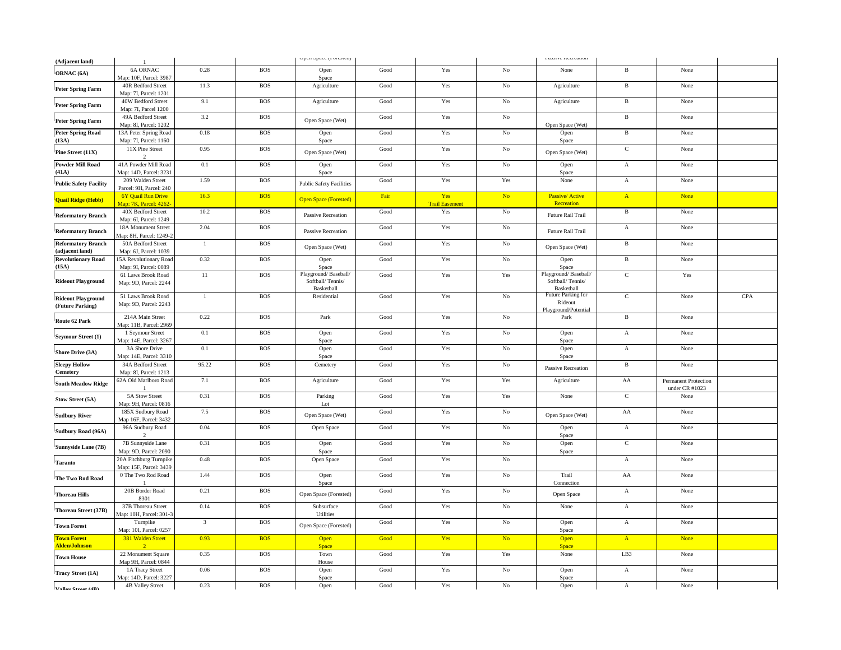| (Adjacent land)                               | $\mathbf{1}$                                       |                         |            | open opiec (1 oresieu)                                 |                       |                              |             | <b>I GODIVE INFERIORIT</b>                             |                 |                                               |     |
|-----------------------------------------------|----------------------------------------------------|-------------------------|------------|--------------------------------------------------------|-----------------------|------------------------------|-------------|--------------------------------------------------------|-----------------|-----------------------------------------------|-----|
| ORNAC <sub>(6A)</sub>                         | <b>6A ORNAC</b><br>Map: 10F, Parcel: 3987          | 0.28                    | <b>BOS</b> | Open<br>Space                                          | Good                  | Yes                          | $\rm No$    | None                                                   | $_{\rm B}$      | None                                          |     |
| Peter Spring Farm                             | 40R Bedford Street<br>Map: 7I, Parcel: 1201        | 11.3                    | <b>BOS</b> | Agriculture                                            | Good                  | Yes                          | $\rm No$    | Agriculture                                            | $\, {\bf B} \,$ | None                                          |     |
| <b>Peter Spring Farm</b>                      | 40W Bedford Street<br>Map: 7I, Parcel 1200         | 9.1                     | <b>BOS</b> | Agriculture                                            | Good                  | Yes                          | $\rm No$    | Agriculture                                            | $\, {\bf B}$    | None                                          |     |
| <b>Peter Spring Farm</b>                      | 49A Bedford Street<br>Map: 8I, Parcel: 1202        | 3.2                     | <b>BOS</b> | Open Space (Wet)                                       | Good                  | Yes                          | No          | Open Space (Wet)                                       | $\, {\bf B}$    | None                                          |     |
| <b>Peter Spring Road</b><br>(13A)             | 13A Peter Spring Road<br>Map: 7I, Parcel: 1160     | 0.18                    | <b>BOS</b> | Open<br>Space                                          | Good                  | Yes                          | No          | Open<br>Space                                          | $\, {\bf B}$    | None                                          |     |
| Pine Street (11X)                             | 11X Pine Street<br>$\overline{2}$                  | 0.95                    | <b>BOS</b> | Open Space (Wet)                                       | Good                  | Yes                          | $\rm No$    | Open Space (Wet)                                       | $\mathbf C$     | None                                          |     |
| <b>Powder Mill Road</b><br>(41A)              | 41A Powder Mill Road<br>Map: 14D, Parcel: 3231     | 0.1                     | <b>BOS</b> | Open<br>Space                                          | Good                  | Yes                          | $\rm No$    | Open<br>Space                                          | $\mathbf A$     | None                                          |     |
| <b>Public Safety Facility</b>                 | 209 Walden Street<br>Parcel: 9H, Parcel: 240       | 1.59                    | <b>BOS</b> | <b>Public Safety Facilities</b>                        | Good                  | Yes                          | Yes         | None                                                   | $\mathbf A$     | None                                          |     |
| Quail Ridge (Hebb)                            | <b>6Y Quail Run Drive</b><br>Map: 7K, Parcel: 4262 | 16.3                    | <b>BOS</b> | <b>Open Space (Forested)</b>                           | Fair                  | Yes<br><b>Trail Easement</b> | No          | Passive/ Active<br>Recreation                          | $\mathbf{A}$    | <b>None</b>                                   |     |
| <b>Reformatory Branch</b>                     | 40X Bedford Street<br>Map: 6I, Parcel: 1249        | 10.2                    | <b>BOS</b> | Passive Recreation                                     | Good                  | Yes                          | No          | Future Rail Trail                                      | $\, {\bf B}$    | None                                          |     |
| <b>Reformatory Branch</b>                     | 18A Monument Street<br>Aap: 8H, Parcel: 1249-2     | 2.04                    | <b>BOS</b> | Passive Recreation                                     | Good                  | Yes                          | $\rm No$    | Future Rail Trail                                      | $\mathbf A$     | None                                          |     |
| <b>Reformatory Branch</b><br>(adjacent land)  | 50A Bedford Street<br>Map: 6J, Parcel: 1039        | $\mathbf{1}$            | <b>BOS</b> | Open Space (Wet)                                       | Good                  | Yes                          | No          | Open Space (Wet)                                       | $\, {\bf B}$    | None                                          |     |
| <b>Revolutionary Road</b><br>(15A)            | 15A Revolutionary Road<br>Map: 9I, Parcel: 0089    | 0.32                    | <b>BOS</b> | Open<br>Space                                          | Good                  | Yes                          | $\rm No$    | Open<br>Space                                          | $\, {\bf B}$    | None                                          |     |
| <b>Rideout Playground</b>                     | 61 Laws Brook Road<br>Map: 9D, Parcel: 2244        | 11                      | <b>BOS</b> | Playground/Baseball/<br>Softball/Tennis/<br>Basketball | Good                  | Yes                          | Yes         | Playground/Baseball/<br>Softball/Tennis/<br>Basketball | $\mathbf C$     | Yes                                           |     |
| <b>Rideout Playground</b><br>(Future Parking) | 51 Laws Brook Road<br>Map: 9D, Parcel: 2243        | $\mathbf{1}$            | <b>BOS</b> | Residential                                            | Good                  | Yes                          | No          | Future Parking for<br>Rideout<br>Playground/Potential  | $\mathbf C$     | None                                          | CPA |
| Route 62 Park                                 | 214A Main Street<br>Map: 11B, Parcel: 2969         | 0.22                    | <b>BOS</b> | Park                                                   | Good                  | Yes                          | $\rm No$    | Park                                                   | $\, {\bf B}$    | None                                          |     |
| Seymour Street (1)                            | 1 Seymour Street<br>Map: 14E, Parcel: 3267         | 0.1                     | <b>BOS</b> | Open<br>Space                                          | Good                  | Yes                          | No          | Open<br>Space                                          | $\mathbf{A}$    | None                                          |     |
| Shore Drive (3A)                              | 3A Shore Drive<br>Map: 14E, Parcel: 3310           | 0.1                     | <b>BOS</b> | Open<br>Space                                          | Good                  | Yes                          | $\rm No$    | Open<br>Space                                          | $\mathbf A$     | None                                          |     |
| <b>Sleepy Hollow</b><br>${\bf Cemetery}$      | 34A Bedford Street<br>Map: 8I, Parcel: 1213        | 95.22                   | <b>BOS</b> | Cemetery                                               | Good                  | Yes                          | $\rm No$    | <b>Passive Recreation</b>                              | $\, {\bf B}$    | None                                          |     |
| <b>South Meadow Ridge</b>                     | 62A Old Marlboro Road<br>$\overline{1}$            | 7.1                     | <b>BOS</b> | Agriculture                                            | Good                  | Yes                          | Yes         | Agriculture                                            | AA              | <b>Permanent Protection</b><br>under CR #1023 |     |
| Stow Street (5A)                              | 5A Stow Street<br>Map: 9H, Parcel: 0816            | 0.31                    | <b>BOS</b> | Parking<br>Lot                                         | Good                  | Yes                          | Yes         | None                                                   | $\mathbf C$     | None                                          |     |
| <b>Sudbury River</b>                          | 185X Sudbury Road<br>Map 16F, Parcel: 3432         | 7.5                     | <b>BOS</b> | Open Space (Wet)                                       | Good                  | Yes                          | $\rm No$    | Open Space (Wet)                                       | ${\rm AA}$      | None                                          |     |
| Sudbury Road (96A)                            | 96A Sudbury Road<br>$\mathcal{L}$                  | 0.04                    | <b>BOS</b> | Open Space                                             | Good                  | Yes                          | No          | Open<br>Space                                          | $\mathbf{A}$    | None                                          |     |
| Sunnyside Lane (7B)                           | 7B Sunnyside Lane<br>Map: 9D, Parcel: 2090         | 0.31                    | <b>BOS</b> | Open<br>Space                                          | $\operatorname{Good}$ | Yes                          | $\rm No$    | Open<br>Space                                          | $\mathbf C$     | None                                          |     |
| <b>Taranto</b>                                | 20A Fitchburg Turnpike<br>Map: 15F, Parcel: 3439   | 0.48                    | <b>BOS</b> | Open Space                                             | Good                  | Yes                          | No          |                                                        | $\mathbf{A}$    | None                                          |     |
| The Two Rod Road                              | 0 The Two Rod Road                                 | 1.44                    | <b>BOS</b> | Open<br>Space                                          | Good                  | Yes                          | $\rm No$    | Trail<br>Connection                                    | ${\rm AA}$      | None                                          |     |
| <b>Thoreau Hills</b>                          | 20B Border Road<br>8301                            | 0.21                    | <b>BOS</b> | Open Space (Forested)                                  | $\operatorname{Good}$ | Yes                          | $\rm No$    | Open Space                                             | $\mathbf A$     | None                                          |     |
| Thoreau Street (37B)                          | 37B Thoreau Street<br>Map: 10H, Parcel: 301-3      | 0.14                    | <b>BOS</b> | Subsurface<br>Utilities                                | Good                  | Yes                          | No          | None                                                   | $\mathbf A$     | None                                          |     |
| <b>Town Forest</b>                            | Turnpike<br>Map: 10I, Parcel: 0257                 | $\overline{\mathbf{3}}$ | <b>BOS</b> | Open Space (Forested)                                  | Good                  | Yes                          | $\rm No$    | Open<br>Space                                          | $\mathbf A$     | None                                          |     |
| <b>Town Forest</b><br><b>Alden/Johnson</b>    | 381 Walden Street<br>$\mathcal{D}$                 | 0.93                    | <b>BOS</b> | Open<br>Space                                          | Good                  | Yes                          | No.         | Open<br><b>Space</b>                                   | $\mathbf{A}$    | <b>None</b>                                   |     |
| <b>Town House</b>                             | 22 Monument Square<br>Map 9H, Parcel: 0844         | 0.35                    | <b>BOS</b> | Town<br>House                                          | Good                  | Yes                          | Yes         | None                                                   | LB <sub>3</sub> | None                                          |     |
| <b>Tracy Street (1A)</b>                      | 1A Tracy Street<br>Map: 14D, Parcel: 3227          | 0.06                    | <b>BOS</b> | Open<br>Space                                          | $\operatorname{Good}$ | Yes                          | $_{\rm No}$ | Open<br>Space                                          | $\mathbf A$     | None                                          |     |
| Valley Street (4R)                            | <b>4B Valley Street</b>                            | 0.23                    | <b>BOS</b> | Open                                                   | Good                  | Yes                          | No          | Open                                                   | $\mathbf{A}$    | None                                          |     |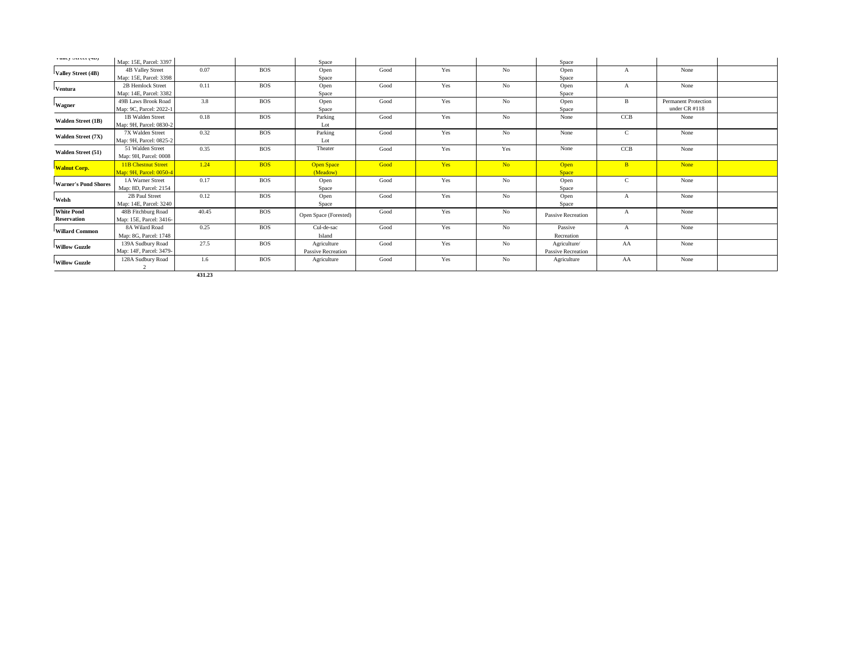| vancy outer (40)            | Map: 15E, Parcel: 3397     |       |            | Space                     |      |     |                | Space                     |              |                             |  |
|-----------------------------|----------------------------|-------|------------|---------------------------|------|-----|----------------|---------------------------|--------------|-----------------------------|--|
|                             | <b>4B Valley Street</b>    | 0.07  | <b>BOS</b> | Open                      | Good | Yes | No             | Open                      | A            | None                        |  |
| Valley Street (4B)          | Map: 15E, Parcel: 3398     |       |            | Space                     |      |     |                | Space                     |              |                             |  |
|                             | 2B Hemlock Street          | 0.11  | <b>BOS</b> | Open                      | Good | Yes | No             | Open                      | A            | None                        |  |
| Ventura                     | Map: 14E, Parcel: 3382     |       |            | Space                     |      |     |                | Space                     |              |                             |  |
| Wagner                      | <b>49B Laws Brook Road</b> | 3.8   | <b>BOS</b> | Open                      | Good | Yes | No             | Open                      | B            | <b>Permanent Protection</b> |  |
|                             | Map: 9C, Parcel: 2022-1    |       |            | Space                     |      |     |                | Space                     |              | under CR #118               |  |
| <b>Walden Street (1B)</b>   | 1B Walden Street           | 0.18  | <b>BOS</b> | Parking                   | Good | Yes | No             | None                      | CCB          | None                        |  |
|                             | Map: 9H, Parcel: 0830-2    |       |            | Lot                       |      |     |                |                           |              |                             |  |
| <b>Walden Street (7X)</b>   | 7X Walden Street           | 0.32  | <b>BOS</b> | Parking                   | Good | Yes | No             | None                      | $\mathbf{C}$ | None                        |  |
|                             | Map: 9H, Parcel: 0825-2    |       |            | Lot                       |      |     |                |                           |              |                             |  |
| Walden Street (51)          | 51 Walden Street           | 0.35  | <b>BOS</b> | Theater                   | Good | Yes | Yes            | None                      | <b>CCB</b>   | None                        |  |
|                             | Map: 9H, Parcel: 0008      |       |            |                           |      |     |                |                           |              |                             |  |
| <b>Walnut Corp.</b>         | <b>11B Chestnut Street</b> | 1.24  | <b>BOS</b> | <b>Open Space</b>         | Good | Yes | No             | Open                      | B            | <b>None</b>                 |  |
|                             | Map: 9H. Parcel: 0050-4    |       |            | (Meadow)                  |      |     |                | <b>Space</b>              |              |                             |  |
| <b>Warner's Pond Shores</b> | 1A Warner Street           | 0.17  | <b>BOS</b> | Open                      | Good | Yes | No             | Open                      | $\mathbf{C}$ | None                        |  |
|                             | Map: 8D, Parcel: 2154      |       |            | Space                     |      |     |                | Space                     |              |                             |  |
| Welsh                       | 2B Paul Street             | 0.12  | <b>BOS</b> | Open                      | Good | Yes | No             | Open                      | A            | None                        |  |
|                             | Map: 14E, Parcel: 3240     |       |            | Space                     |      |     |                | Space                     |              |                             |  |
| <b>White Pond</b>           | 48B Fitchburg Road         | 40.45 | <b>BOS</b> | Open Space (Forested)     | Good | Yes | No             | <b>Passive Recreation</b> | A            | None                        |  |
| <b>Reservation</b>          | Map: 15E, Parcel: 3416-    |       |            |                           |      |     |                |                           |              |                             |  |
| <b>Willard Common</b>       | 8A Wilard Road             | 0.25  | <b>BOS</b> | Cul-de-sac                | Good | Yes | No             | Passive                   | $\mathbf{A}$ | None                        |  |
|                             | Map: 8G, Parcel: 1748      |       |            | Island                    |      |     |                | Recreation                |              |                             |  |
| <b>Willow Guzzle</b>        | 139A Sudbury Road          | 27.5  | <b>BOS</b> | Agriculture               | Good | Yes | N <sub>o</sub> | Agriculture/              | AA           | None                        |  |
|                             | Map: 14F, Parcel: 3479-    |       |            | <b>Passive Recreation</b> |      |     |                | Passive Recreation        |              |                             |  |
| <b>Willow Guzzle</b>        | 128A Sudbury Road          | 1.6   | <b>BOS</b> | Agriculture               | Good | Yes | No             | Agriculture               | AA           | None                        |  |
|                             | $\overline{2}$             |       |            |                           |      |     |                |                           |              |                             |  |

**431.23**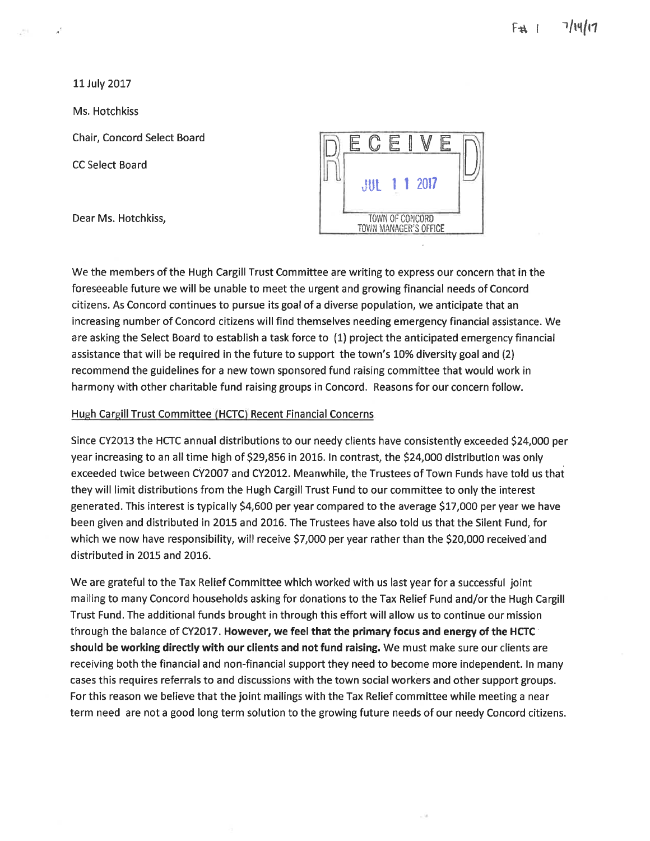11 July 2017

a,

Ms. Hotchkiss

Chair, Concord Select Board

**CC Select Board** 

Dear Ms. Hotchkiss,



We the members of the Hugh Cargill Trust Committee are writing to express our concern that in the foreseeable future we will be unable to meet the urgent and growing financial needs of Concord citizens. As Concord continues to pursue its goal of a diverse population, we anticipate that an increasing number of Concord citizens will find themselves needing emergency financial assistance. We are asking the Select Board to establish a task force to (1) project the anticipated emergency financial assistance that will be required in the future to support the town's 10% diversity goal and (2) recommend the guidelines for a new town sponsored fund raising committee that would work in harmony with other charitable fund raising groups in Concord. Reasons for our concern follow.

#### Hugh Cargill Trust Committee (HCTC) Recent Financial Concerns

Since CY2013 the HCTC annual distributions to our needy clients have consistently exceeded \$24,000 per year increasing to an all time high of \$29,856 in 2016. In contrast, the \$24,000 distribution was only exceeded twice between CY2007 and CY2012. Meanwhile, the Trustees of Town Funds have told us that they will limit distributions from the Hugh Cargill Trust Fund to our committee to only the interest generated. This interest is typically \$4,600 per year compared to the average \$17,000 per year we have been given and distributed in 2015 and 2016. The Trustees have also told us that the Silent Fund, for which we now have responsibility, will receive \$7,000 per year rather than the \$20,000 received and distributed in 2015 and 2016.

We are grateful to the Tax Relief Committee which worked with us last year for a successful joint mailing to many Concord households asking for donations to the Tax Relief Fund and/or the Hugh Cargill Trust Fund. The additional funds brought in through this effort will allow us to continue our mission through the balance of CY2017. However, we feel that the primary focus and energy of the HCTC should be working directly with our clients and not fund raising. We must make sure our clients are receiving both the financial and non-financial support they need to become more independent. In many cases this requires referrals to and discussions with the town social workers and other support groups. For this reason we believe that the joint mailings with the Tax Relief committee while meeting a near term need are not a good long term solution to the growing future needs of our needy Concord citizens.